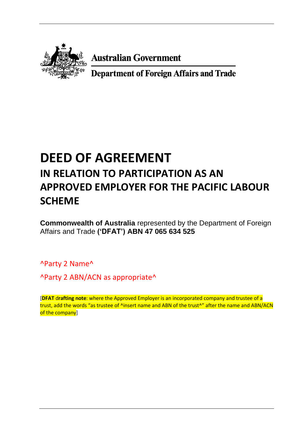

**Australian Government** 

**Department of Foreign Affairs and Trade** 

# **DEED OF AGREEMENT IN RELATION TO PARTICIPATION AS AN APPROVED EMPLOYER FOR THE PACIFIC LABOUR SCHEME**

**Commonwealth of Australia** represented by the Department of Foreign Affairs and Trade **('DFAT') ABN 47 065 634 525** 

^Party 2 Name^

^Party 2 ABN/ACN as appropriate^

[**DFAT** d**rafting note**: where the Approved Employer is an incorporated company and trustee of a trust, add the words "as trustee of ^insert name and ABN of the trust^" after the name and ABN/ACN of the companyl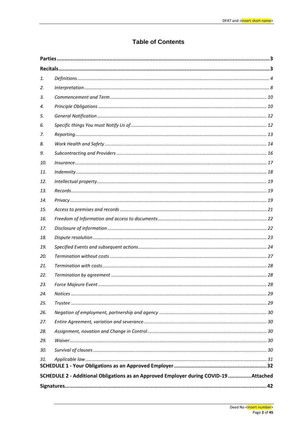# **Table of Contents**

| 1.  |                                                                                      |  |
|-----|--------------------------------------------------------------------------------------|--|
| 2.  |                                                                                      |  |
| 3.  |                                                                                      |  |
| 4.  |                                                                                      |  |
| 5.  |                                                                                      |  |
| 6.  |                                                                                      |  |
| 7.  |                                                                                      |  |
| 8.  |                                                                                      |  |
| 9.  |                                                                                      |  |
| 10. |                                                                                      |  |
| 11. |                                                                                      |  |
| 12. |                                                                                      |  |
| 13. |                                                                                      |  |
| 14. |                                                                                      |  |
| 15. |                                                                                      |  |
| 16. |                                                                                      |  |
| 17. |                                                                                      |  |
| 18. |                                                                                      |  |
| 19. |                                                                                      |  |
| 20. |                                                                                      |  |
| 21. |                                                                                      |  |
| 22. |                                                                                      |  |
| 23. |                                                                                      |  |
| 24. |                                                                                      |  |
| 25. |                                                                                      |  |
| 26. |                                                                                      |  |
| 27. |                                                                                      |  |
| 28. |                                                                                      |  |
| 29. |                                                                                      |  |
| 30. |                                                                                      |  |
| 31. |                                                                                      |  |
|     | SCHEDULE 2 - Additional Obligations as an Approved Employer during COVID-19 Attached |  |
|     |                                                                                      |  |
|     |                                                                                      |  |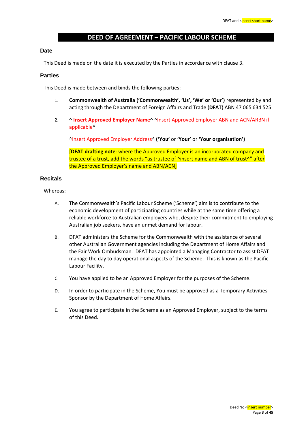# **DEED OF AGREEMENT – PACIFIC LABOUR SCHEME**

#### **Date**

This Deed is made on the date it is executed by the Parties in accordance with clause 3.

#### **Parties**

This Deed is made between and binds the following parties:

- 1. **Commonwealth of Australia ('Commonwealth', 'Us', 'We' or 'Our')** represented by and acting through the Department of Foreign Affairs and Trade (**DFAT**) ABN 47 065 634 525
- 2. **^ Insert Approved Employer Name^** ^Insert Approved Employer ABN and ACN/ARBN if applicable^

^Insert Approved Employer Address^ **('You'** or **'Your'** or **'Your organisation')**

[**DFAT drafting note**: where the Approved Employer is an incorporated company and trustee of a trust, add the words "as trustee of ^insert name and ABN of trust^" after the Approved Employer's name and ABN/ACN]

## **Recitals**

#### Whereas:

- A. The Commonwealth's Pacific Labour Scheme ('Scheme') aim is to contribute to the economic development of participating countries while at the same time offering a reliable workforce to Australian employers who, despite their commitment to employing Australian job seekers, have an unmet demand for labour.
- B. DFAT administers the Scheme for the Commonwealth with the assistance of several other Australian Government agencies including the Department of Home Affairs and the Fair Work Ombudsman. DFAT has appointed a Managing Contractor to assist DFAT manage the day to day operational aspects of the Scheme. This is known as the Pacific Labour Facility.
- C. You have applied to be an Approved Employer for the purposes of the Scheme.
- D. In order to participate in the Scheme, You must be approved as a Temporary Activities Sponsor by the Department of Home Affairs.
- E. You agree to participate in the Scheme as an Approved Employer, subject to the terms of this Deed.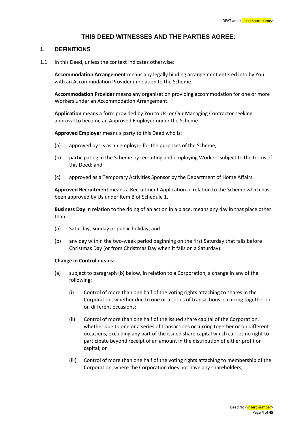## **THIS DEED WITNESSES AND THE PARTIES AGREE:**

#### **1. DEFINITIONS**

1.1 In this Deed, unless the context indicates otherwise:

**Accommodation Arrangement** means any legally binding arrangement entered into by You with an Accommodation Provider in relation to the Scheme.

**Accommodation Provider** means any organisation providing accommodation for one or more Workers under an Accommodation Arrangement.

**Application** means a form provided by You to Us or Our Managing Contractor seeking approval to become an Approved Employer under the Scheme.

**Approved Employer** means a party to this Deed who is:

- (a) approved by Us as an employer for the purposes of the Scheme;
- (b) participating in the Scheme by recruiting and employing Workers subject to the terms of this Deed; and
- (c) approved as a Temporary Activities Sponsor by the Department of Home Affairs.

**Approved Recruitment** means a Recruitment Application in relation to the Scheme which has been approved by Us under Item B of Schedule 1.

**Business Day** in relation to the doing of an action in a place, means any day in that place other than:

- (a) Saturday, Sunday or public holiday; and
- (b) any day within the two-week period beginning on the first Saturday that falls before Christmas Day (or from Christmas Day when it falls on a Saturday).

#### **Change in Control** means:

- (a) subject to paragraph (b) below, in relation to a Corporation, a change in any of the following:
	- (i) Control of more than one half of the voting rights attaching to shares in the Corporation, whether due to one or a series of transactions occurring together or on different occasions;
	- (ii) Control of more than one half of the issued share capital of the Corporation, whether due to one or a series of transactions occurring together or on different occasions, excluding any part of the issued share capital which carries no right to participate beyond receipt of an amount in the distribution of either profit or capital; or
	- (iii) Control of more than one half of the voting rights attaching to membership of the Corporation, where the Corporation does not have any shareholders;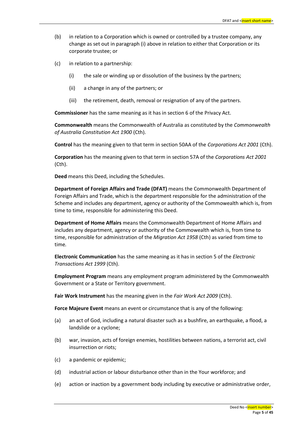- (b) in relation to a Corporation which is owned or controlled by a trustee company, any change as set out in paragraph (i) above in relation to either that Corporation or its corporate trustee; or
- (c) in relation to a partnership:
	- (i) the sale or winding up or dissolution of the business by the partners;
	- (ii) a change in any of the partners; or
	- (iii) the retirement, death, removal or resignation of any of the partners.

**Commissioner** has the same meaning as it has in section 6 of the Privacy Act.

**Commonwealth** means the Commonwealth of Australia as constituted by the *Commonwealth of Australia Constitution Act 1900* (Cth).

**Control** has the meaning given to that term in section 50AA of the *Corporations Act 2001* (Cth).

**Corporation** has the meaning given to that term in section 57A of the *Corporations Act 2001* (Cth).

**Deed** means this Deed, including the Schedules.

**Department of Foreign Affairs and Trade (DFAT)** means the Commonwealth Department of Foreign Affairs and Trade, which is the department responsible for the administration of the Scheme and includes any department, agency or authority of the Commowealth which is, from time to time, responsible for administering this Deed.

**Department of Home Affairs** means the Commonwealth Department of Home Affairs and includes any department, agency or authority of the Commowealth which is, from time to time, responsible for administration of the *Migration Act 1958* (Cth) as varied from time to time*.*

**Electronic Communication** has the same meaning as it has in section 5 of the *Electronic Transactions Act 1999* (Cth).

**Employment Program** means any employment program administered by the Commonwealth Government or a State or Territory government.

**Fair Work Instrument** has the meaning given in the *Fair Work Act 2009* (Cth).

**Force Majeure Event** means an event or circumstance that is any of the following:

- (a) an act of God, including a natural disaster such as a bushfire, an earthquake, a flood, a landslide or a cyclone;
- (b) war, invasion, acts of foreign enemies, hostilities between nations, a terrorist act, civil insurrection or riots;
- (c) a pandemic or epidemic;
- (d) industrial action or labour disturbance other than in the Your workforce; and
- (e) action or inaction by a government body including by executive or administrative order,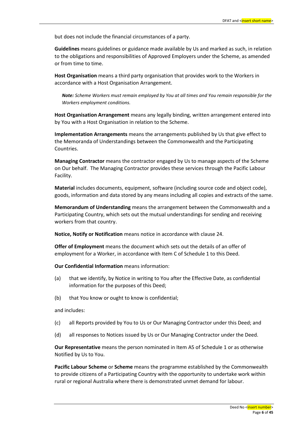but does not include the financial circumstances of a party.

**Guidelines** means guidelines or guidance made available by Us and marked as such, in relation to the obligations and responsibilities of Approved Employers under the Scheme, as amended or from time to time.

**Host Organisation** means a third party organisation that provides work to the Workers in accordance with a Host Organisation Arrangement.

*Note: Scheme Workers must remain employed by You at all times and You remain responsible for the Workers employment conditions.* 

**Host Organisation Arrangement** means any legally binding, written arrangement entered into by You with a Host Organisation in relation to the Scheme.

**Implementation Arrangements** means the arrangements published by Us that give effect to the Memoranda of Understandings between the Commonwealth and the Participating Countries.

**Managing Contractor** means the contractor engaged by Us to manage aspects of the Scheme on Our behalf. The Managing Contractor provides these services through the Pacific Labour Facility.

**Material** includes documents, equipment, software (including source code and object code), goods, information and data stored by any means including all copies and extracts of the same.

**Memorandum of Understanding** means the arrangement between the Commonwealth and a Participating Country, which sets out the mutual understandings for sending and receiving workers from that country.

**Notice, Notify or Notification** means notice in accordance with clause 24.

**Offer of Employment** means the document which sets out the details of an offer of employment for a Worker, in accordance with Item C of Schedule 1 to this Deed.

**Our Confidential Information** means information:

- (a) that we identify, by Notice in writing to You after the Effective Date, as confidential information for the purposes of this Deed;
- (b) that You know or ought to know is confidential;

and includes:

- (c) all Reports provided by You to Us or Our Managing Contractor under this Deed; and
- (d) all responses to Notices issued by Us or Our Managing Contractor under the Deed.

**Our Representative** means the person nominated in Item A5 of Schedule 1 or as otherwise Notified by Us to You.

**Pacific Labour Scheme** or **Scheme** means the programme established by the Commonwealth to provide citizens of a Participating Country with the opportunity to undertake work within rural or regional Australia where there is demonstrated unmet demand for labour.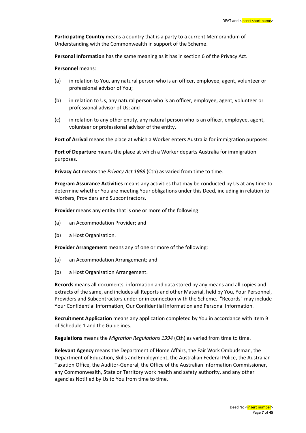**Participating Country** means a country that is a party to a current Memorandum of Understanding with the Commonwealth in support of the Scheme.

**Personal Information** has the same meaning as it has in section 6 of the Privacy Act.

**Personnel** means:

- (a) in relation to You, any natural person who is an officer, employee, agent, volunteer or professional advisor of You;
- (b) in relation to Us, any natural person who is an officer, employee, agent, volunteer or professional advisor of Us; and
- (c) in relation to any other entity, any natural person who is an officer, employee, agent, volunteer or professional advisor of the entity.

**Port of Arrival** means the place at which a Worker enters Australia for immigration purposes.

**Port of Departure** means the place at which a Worker departs Australia for immigration purposes.

**Privacy Act** means the *Privacy Act 1988* (Cth) as varied from time to time.

**Program Assurance Activities** means any activities that may be conducted by Us at any time to determine whether You are meeting Your obligations under this Deed, including in relation to Workers, Providers and Subcontractors.

**Provider** means any entity that is one or more of the following:

- (a) an Accommodation Provider; and
- (b) a Host Organisation.

**Provider Arrangement** means any of one or more of the following:

- (a) an Accommodation Arrangement; and
- (b) a Host Organisation Arrangement.

**Records** means all documents, information and data stored by any means and all copies and extracts of the same, and includes all Reports and other Material, held by You, Your Personnel, Providers and Subcontractors under or in connection with the Scheme. "Records" may include Your Confidential Information, Our Confidential Information and Personal Information.

**Recruitment Application** means any application completed by You in accordance with Item B of Schedule 1 and the Guidelines.

**Regulations** means the *Migration Regulations 1994* (Cth) as varied from time to time.

**Relevant Agency** means the Department of Home Affairs, the Fair Work Ombudsman, the Department of Education, Skills and Employment, the Australian Federal Police, the Australian Taxation Office, the Auditor-General, the Office of the Australian Information Commissioner, any Commonwealth, State or Territory work health and safety authority, and any other agencies Notified by Us to You from time to time.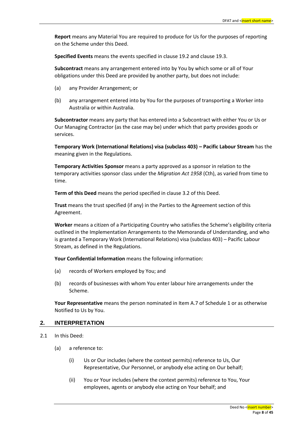**Report** means any Material You are required to produce for Us for the purposes of reporting on the Scheme under this Deed.

**Specified Events** means the events specified in clause 19.2 and clause 19.3.

**Subcontract** means any arrangement entered into by You by which some or all of Your obligations under this Deed are provided by another party, but does not include:

- (a) any Provider Arrangement; or
- (b) any arrangement entered into by You for the purposes of transporting a Worker into Australia or within Australia.

**Subcontractor** means any party that has entered into a Subcontract with either You or Us or Our Managing Contractor (as the case may be) under which that party provides goods or services.

**[Temporary Work \(International Relations\) visa \(subclass 403\)](https://www.homeaffairs.gov.au/trav/visa-1/403-) – Pacific Labour Stream** has the meaning given in the Regulations.

**Temporary Activities Sponsor** means a party approved as a sponsor in relation to the temporary activities sponsor class under the *Migration Act 1958* (Cth), as varied from time to time.

**Term of this Deed** means the period specified in clause 3.2 of this Deed.

**Trust** means the trust specified (if any) in the Parties to the Agreement section of this Agreement.

**Worker** means a citizen of a Participating Country who satisfies the Scheme's eligibility criteria outlined in the Implementation Arrangements to the Memoranda of Understanding, and who is granted a [Temporary Work \(International Relations\) visa \(subclass 403\)](https://www.homeaffairs.gov.au/trav/visa-1/403-) – Pacific Labour Stream, as defined in the Regulations.

**Your Confidential Information** means the following information:

- (a) records of Workers employed by You; and
- (b) records of businesses with whom You enter labour hire arrangements under the Scheme.

**Your Representative** means the person nominated in Item A.7 of Schedule 1 or as otherwise Notified to Us by You.

#### **2. INTERPRETATION**

- 2.1 In this Deed:
	- (a) a reference to:
		- (i) Us or Our includes (where the context permits) reference to Us, Our Representative, Our Personnel, or anybody else acting on Our behalf;
		- (ii) You or Your includes (where the context permits) reference to You, Your employees, agents or anybody else acting on Your behalf; and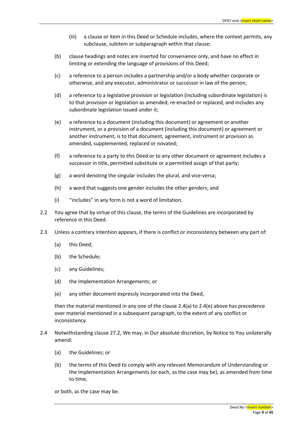- (iii) a clause or item in this Deed or Schedule includes, where the context permits, any subclause, subitem or subparagraph within that clause;
- (b) clause headings and notes are inserted for convenience only, and have no effect in limiting or extending the language of provisions of this Deed;
- (c) a reference to a person includes a partnership and/or a body whether corporate or otherwise, and any executor, administrator or successor in law of the person;
- (d) a reference to a legislative provision or legislation (including subordinate legislation) is to that provision or legislation as amended, re-enacted or replaced, and includes any subordinate legislation issued under it;
- (e) a reference to a document (including this document) or agreement or another instrument, or a provision of a document (including this document) or agreement or another instrument, is to that document, agreement, instrument or provision as amended, supplemented, replaced or novated;
- (f) a reference to a party to this Deed or to any other document or agreement includes a successor in title, permitted substitute or a permitted assign of that party;
- (g) a word denoting the singular includes the plural, and vice-versa;
- (h) a word that suggests one gender includes the other genders; and
- (i) ''includes" in any form is not a word of limitation.
- 2.2 You agree that by virtue of this clause, the terms of the Guidelines are incorporated by reference in this Deed.
- 2.3 Unless a contrary intention appears, if there is conflict or inconsistency between any part of:
	- (a) this Deed;
	- (b) the Schedule;
	- (c) any Guidelines;
	- (d) the Implementation Arrangements; or
	- (e) any other document expressly incorporated into the Deed,

then the material mentioned in any one of the clause 2.4(a) to 2.4(e) above has precedence over material mentioned in a subsequent paragraph, to the extent of any conflict or inconsistency.

- 2.4 Notwithstanding clause 27.2, We may, in Our absolute discretion, by Notice to You unilaterally amend:
	- (a) the Guidelines; or
	- (b) the terms of this Deed to comply with any relevant Memorandum of Understanding or the Implementation Arrangements (or each, as the case may be), as amended from time to time,

or both, as the case may be.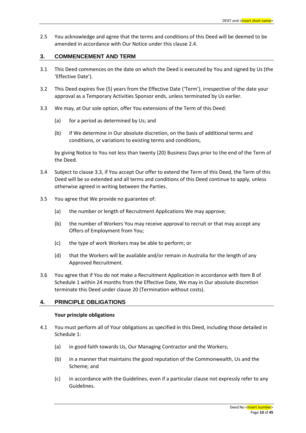2.5 You acknowledge and agree that the terms and conditions of this Deed will be deemed to be amended in accordance with Our Notice under this clause 2.4.

## **3. COMMENCEMENT AND TERM**

- 3.1 This Deed commences on the date on which the Deed is executed by You and signed by Us (the 'Effective Date').
- 3.2 This Deed expires five (5) years from the Effective Date ('Term'), irrespective of the date your approval as a Temporary Activities Sponsor ends, unless terminated by Us earlier.
- 3.3 We may, at Our sole option, offer You extensions of the Term of this Deed:
	- (a) for a period as determined by Us; and
	- (b) if We determine in Our absolute discretion, on the basis of additional terms and conditions, or variations to existing terms and conditions,

by giving Notice to You not less than twenty (20) Business Days prior to the end of the Term of the Deed.

- 3.4 Subject to clause 3.3, if You accept Our offer to extend the Term of this Deed, the Term of this Deed will be so extended and all terms and conditions of this Deed continue to apply, unless otherwise agreed in writing between the Parties.
- 3.5 You agree that We provide no guarantee of:
	- (a) the number or length of Recruitment Applications We may approve;
	- (b) the number of Workers You may receive approval to recruit or that may accept any Offers of Employment from You;
	- (c) the type of work Workers may be able to perform; or
	- (d) that the Workers will be available and/or remain in Australia for the length of any Approved Recruitment.
- 3.6 You agree that if You do not make a Recruitment Application in accordance with Item B of Schedule 1 within 24 months from the Effective Date, We may in Our absolute discretion terminate this Deed under clause 20 (Termination without costs).

## **4. PRINCIPLE OBLIGATIONS**

## **Your principle obligations**

- 4.1 You must perform all of Your obligations as specified in this Deed, including those detailed in Schedule 1:
	- (a) in good faith towards Us, Our Managing Contractor and the Workers;
	- (b) in a manner that maintains the good reputation of the Commonwealth, Us and the Scheme; and
	- (c) in accordance with the Guidelines, even if a particular clause not expressly refer to any Guidelines.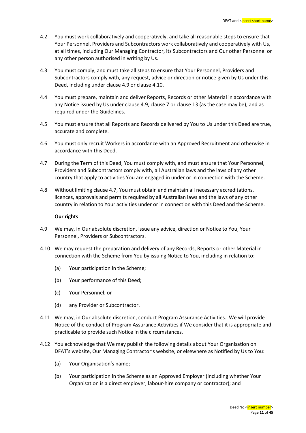- 4.2 You must work collaboratively and cooperatively, and take all reasonable steps to ensure that Your Personnel, Providers and Subcontractors work collaboratively and cooperatively with Us, at all times, including Our Managing Contractor, its Subcontractors and Our other Personnel or any other person authorised in writing by Us.
- 4.3 You must comply, and must take all steps to ensure that Your Personnel, Providers and Subcontractors comply with, any request, advice or direction or notice given by Us under this Deed, including under clause 4.9 or clause 4.10.
- 4.4 You must prepare, maintain and deliver Reports, Records or other Material in accordance with any Notice issued by Us under clause 4.9, clause 7 or clause 13 (as the case may be), and as required under the Guidelines.
- 4.5 You must ensure that all Reports and Records delivered by You to Us under this Deed are true, accurate and complete.
- 4.6 You must only recruit Workers in accordance with an Approved Recruitment and otherwise in accordance with this Deed.
- 4.7 During the Term of this Deed, You must comply with, and must ensure that Your Personnel, Providers and Subcontractors comply with, all Australian laws and the laws of any other country that apply to activities You are engaged in under or in connection with the Scheme.
- 4.8 Without limiting clause 4.7, You must obtain and maintain all necessary accreditations, licences, approvals and permits required by all Australian laws and the laws of any other country in relation to Your activities under or in connection with this Deed and the Scheme.

#### **Our rights**

- 4.9 We may, in Our absolute discretion, issue any advice, direction or Notice to You, Your Personnel, Providers or Subcontractors.
- 4.10 We may request the preparation and delivery of any Records, Reports or other Material in connection with the Scheme from You by issuing Notice to You, including in relation to:
	- (a) Your participation in the Scheme;
	- (b) Your performance of this Deed;
	- (c) Your Personnel; or
	- (d) any Provider or Subcontractor.
- 4.11 We may, in Our absolute discretion, conduct Program Assurance Activities. We will provide Notice of the conduct of Program Assurance Activities if We consider that it is appropriate and practicable to provide such Notice in the circumstances.
- 4.12 You acknowledge that We may publish the following details about Your Organisation on DFAT's website, Our Managing Contractor's website, or elsewhere as Notified by Us to You:
	- (a) Your Organisation's name;
	- (b) Your participation in the Scheme as an Approved Employer (including whether Your Organisation is a direct employer, labour-hire company or contractor); and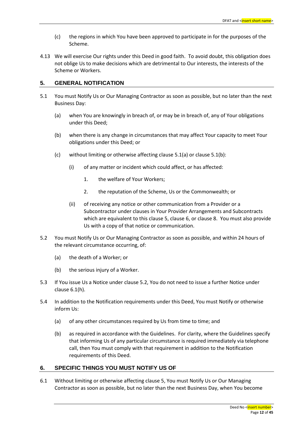- (c) the regions in which You have been approved to participate in for the purposes of the Scheme.
- 4.13 We will exercise Our rights under this Deed in good faith. To avoid doubt, this obligation does not oblige Us to make decisions which are detrimental to Our interests, the interests of the Scheme or Workers.

## **5. GENERAL NOTIFICATION**

- 5.1 You must Notify Us or Our Managing Contractor as soon as possible, but no later than the next Business Day:
	- (a) when You are knowingly in breach of, or may be in breach of, any of Your obligations under this Deed;
	- (b) when there is any change in circumstances that may affect Your capacity to meet Your obligations under this Deed; or
	- (c) without limiting or otherwise affecting clause 5.1(a) or clause 5.1(b):
		- (i) of any matter or incident which could affect, or has affected:
			- 1. the welfare of Your Workers;
			- 2. the reputation of the Scheme, Us or the Commonwealth; or
		- (ii) of receiving any notice or other communication from a Provider or a Subcontractor under clauses in Your Provider Arrangements and Subcontracts which are equivalent to this clause 5, clause 6, or clause 8. You must also provide Us with a copy of that notice or communication.
- 5.2 You must Notify Us or Our Managing Contractor as soon as possible, and within 24 hours of the relevant circumstance occurring, of:
	- (a) the death of a Worker; or
	- (b) the serious injury of a Worker.
- 5.3 If You issue Us a Notice under clause 5.2, You do not need to issue a further Notice under clause 6.1(h).
- 5.4 In addition to the Notification requirements under this Deed, You must Notify or otherwise inform Us:
	- (a) of any other circumstances required by Us from time to time; and
	- (b) as required in accordance with the Guidelines. For clarity, where the Guidelines specify that informing Us of any particular circumstance is required immediately via telephone call, then You must comply with that requirement in addition to the Notification requirements of this Deed.

## **6. SPECIFIC THINGS YOU MUST NOTIFY US OF**

6.1 Without limiting or otherwise affecting clause 5, You must Notify Us or Our Managing Contractor as soon as possible, but no later than the next Business Day, when You become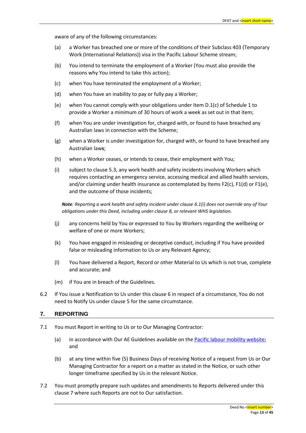aware of any of the following circumstances:

- (a) a Worker has breached one or more of the conditions of their Subclass 403 (Temporary Work (International Relations)) visa in the Pacific Labour Scheme stream;
- (b) You intend to terminate the employment of a Worker (You must also provide the reasons why You intend to take this action);
- (c) when You have terminated the employment of a Worker;
- (d) when You have an inability to pay or fully pay a Worker;
- (e) when You cannot comply with your obligations under Item D.1(c) of Schedule 1 to provide a Worker a minimum of 30 hours of work a week as set out in that item;
- (f) when You are under investigation for, charged with, or found to have breached any Australian laws in connection with the Scheme;
- (g) when a Worker is under investigation for, charged with, or found to have breached any Australian law**s**;
- (h) when a Worker ceases, or intends to cease, their employment with You;
- (i) subject to clause 5.3, any work health and safety incidents involving Workers which requires contacting an emergency service, accessing medical and allied health services, and/or claiming under health insurance as contemplated by Items F2(c), F1(d) or F1(e), and the outcome of those incidents;

*Note: Reporting a work health and safety incident under clause 6.1(i) does not override any of Your obligations under this Deed, including under clause 8, or relevant WHS legislation.*

- (j) any concerns held by You or expressed to You by Workers regarding the wellbeing or welfare of one or more Workers;
- (k) You have engaged in misleading or deceptive conduct, including if You have provided false or misleading information to Us or any Relevant Agency;
- (l) You have delivered a Report, Record or other Material to Us which is not true, complete and accurate; and
- (m) if You are in breach of the Guidelines.
- 6.2 If You issue a Notification to Us under this clause 6 in respect of a circumstance, You do not need to Notify Us under clause 5 for the same circumstance.

## **7. REPORTING**

- 7.1 You must Report in writing to Us or to Our Managing Contractor:
	- (a) in accordance with Our AE Guidelines available on the [Pacific labour mobility website;](https://pacificlabourmobility.com.au/) and
	- (b) at any time within five (5) Business Days of receiving Notice of a request from Us or Our Managing Contractor for a report on a matter as stated in the Notice, or such other longer timeframe specified by Us in the relevant Notice.
- 7.2 You must promptly prepare such updates and amendments to Reports delivered under this clause 7 where such Reports are not to Our satisfaction.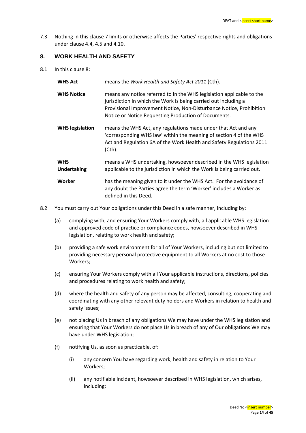7.3 Nothing in this clause 7 limits or otherwise affects the Parties' respective rights and obligations under clause 4.4, 4.5 and 4.10.

## **8. WORK HEALTH AND SAFETY**

8.1 In this clause 8:

| <b>WHS Act</b>                   | means the Work Health and Safety Act 2011 (Cth).                                                                                                                                                                                                                        |
|----------------------------------|-------------------------------------------------------------------------------------------------------------------------------------------------------------------------------------------------------------------------------------------------------------------------|
| <b>WHS Notice</b>                | means any notice referred to in the WHS legislation applicable to the<br>jurisdiction in which the Work is being carried out including a<br>Provisional Improvement Notice, Non-Disturbance Notice, Prohibition<br>Notice or Notice Requesting Production of Documents. |
| <b>WHS legislation</b>           | means the WHS Act, any regulations made under that Act and any<br>'corresponding WHS law' within the meaning of section 4 of the WHS<br>Act and Regulation 6A of the Work Health and Safety Regulations 2011<br>(Cth).                                                  |
| <b>WHS</b><br><b>Undertaking</b> | means a WHS undertaking, howsoever described in the WHS legislation<br>applicable to the jurisdiction in which the Work is being carried out.                                                                                                                           |
| Worker                           | has the meaning given to it under the WHS Act. For the avoidance of<br>any doubt the Parties agree the term 'Worker' includes a Worker as<br>defined in this Deed.                                                                                                      |

- 8.2 You must carry out Your obligations under this Deed in a safe manner, including by:
	- (a) complying with, and ensuring Your Workers comply with, all applicable WHS legislation and approved code of practice or compliance codes, howsoever described in WHS legislation, relating to work health and safety;
	- (b) providing a safe work environment for all of Your Workers, including but not limited to providing necessary personal protective equipment to all Workers at no cost to those Workers;
	- (c) ensuring Your Workers comply with all Your applicable instructions, directions, policies and procedures relating to work health and safety;
	- (d) where the health and safety of any person may be affected, consulting, cooperating and coordinating with any other relevant duty holders and Workers in relation to health and safety issues;
	- (e) not placing Us in breach of any obligations We may have under the WHS legislation and ensuring that Your Workers do not place Us in breach of any of Our obligations We may have under WHS legislation;
	- (f) notifying Us, as soon as practicable, of:
		- (i) any concern You have regarding work, health and safety in relation to Your Workers;
		- (ii) any notifiable incident, howsoever described in WHS legislation, which arises, including: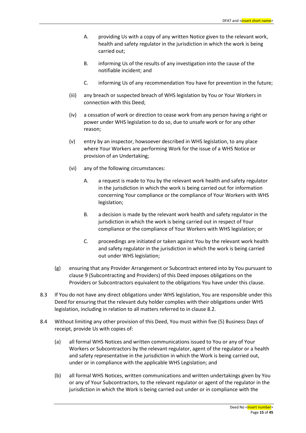- A. providing Us with a copy of any written Notice given to the relevant work, health and safety regulator in the jurisdiction in which the work is being carried out;
- B. informing Us of the results of any investigation into the cause of the notifiable incident; and
- C. informing Us of any recommendation You have for prevention in the future;
- (iii) any breach or suspected breach of WHS legislation by You or Your Workers in connection with this Deed;
- (iv) a cessation of work or direction to cease work from any person having a right or power under WHS legislation to do so, due to unsafe work or for any other reason;
- (v) entry by an inspector, howsoever described in WHS legislation, to any place where Your Workers are performing Work for the issue of a WHS Notice or provision of an Undertaking;
- (vi) any of the following circumstances:
	- A. a request is made to You by the relevant work health and safety regulator in the jurisdiction in which the work is being carried out for information concerning Your compliance or the compliance of Your Workers with WHS legislation;
	- B. a decision is made by the relevant work health and safety regulator in the jurisdiction in which the work is being carried out in respect of Your compliance or the compliance of Your Workers with WHS legislation; or
	- C. proceedings are initiated or taken against You by the relevant work health and safety regulator in the jurisdiction in which the work is being carried out under WHS legislation;
- (g) ensuring that any Provider Arrangement or Subcontract entered into by You pursuant to clause 9 (Subcontracting and Providers) of this Deed imposes obligations on the Providers or Subcontractors equivalent to the obligations You have under this clause.
- 8.3 If You do not have any direct obligations under WHS legislation, You are responsible under this Deed for ensuring that the relevant duty holder complies with their obligations under WHS legislation, including in relation to all matters referred to in clause 8.2.
- 8.4 Without limiting any other provision of this Deed, You must within five (5) Business Days of receipt, provide Us with copies of:
	- (a) all formal WHS Notices and written communications issued to You or any of Your Workers or Subcontractors by the relevant regulator, agent of the regulator or a health and safety representative in the jurisdiction in which the Work is being carried out, under or in compliance with the applicable WHS Legislation; and
	- (b) all formal WHS Notices, written communications and written undertakings given by You or any of Your Subcontractors, to the relevant regulator or agent of the regulator in the jurisdiction in which the Work is being carried out under or in compliance with the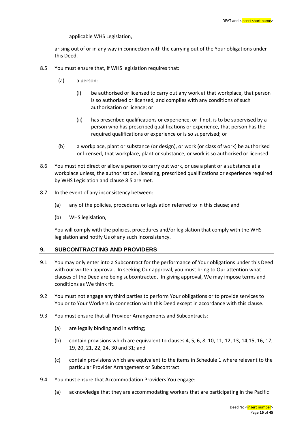applicable WHS Legislation,

arising out of or in any way in connection with the carrying out of the Your obligations under this Deed.

- 8.5 You must ensure that, if WHS legislation requires that:
	- (a) a person:
		- (i) be authorised or licensed to carry out any work at that workplace, that person is so authorised or licensed, and complies with any conditions of such authorisation or licence; or
		- (ii) has prescribed qualifications or experience, or if not, is to be supervised by a person who has prescribed qualifications or experience, that person has the required qualifications or experience or is so supervised; or
	- (b) a workplace, plant or substance (or design), or work (or class of work) be authorised or licensed, that workplace, plant or substance, or work is so authorised or licensed.
- 8.6 You must not direct or allow a person to carry out work, or use a plant or a substance at a workplace unless, the authorisation, licensing, prescribed qualifications or experience required by WHS Legislation and clause 8.5 are met.
- 8.7 In the event of any inconsistency between:
	- (a) any of the policies, procedures or legislation referred to in this clause; and
	- (b) WHS legislation,

You will comply with the policies, procedures and/or legislation that comply with the WHS legislation and notify Us of any such inconsistency.

## **9. SUBCONTRACTING AND PROVIDERS**

- 9.1 You may only enter into a Subcontract for the performance of Your obligations under this Deed with our written approval. In seeking Our approval, you must bring to Our attention what clauses of the Deed are being subcontracted. In giving approval, We may impose terms and conditions as We think fit.
- 9.2 You must not engage any third parties to perform Your obligations or to provide services to You or to Your Workers in connection with this Deed except in accordance with this clause.
- 9.3 You must ensure that all Provider Arrangements and Subcontracts:
	- (a) are legally binding and in writing;
	- (b) contain provisions which are equivalent to clauses 4, 5, 6, 8, 10, 11, 12, 13, 14,15, 16, 17, 19, 20, 21, 22, 24, 30 and 31; and
	- (c) contain provisions which are equivalent to the items in Schedule 1 where relevant to the particular Provider Arrangement or Subcontract.
- 9.4 You must ensure that Accommodation Providers You engage:
	- (a) acknowledge that they are accommodating workers that are participating in the Pacific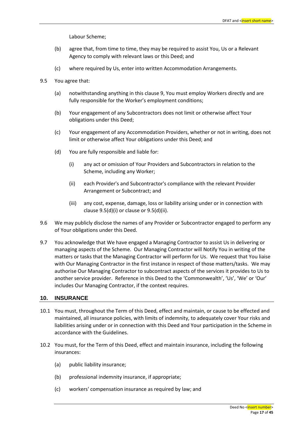Labour Scheme;

- (b) agree that, from time to time, they may be required to assist You, Us or a Relevant Agency to comply with relevant laws or this Deed; and
- (c) where required by Us, enter into written Accommodation Arrangements.
- 9.5 You agree that:
	- (a) notwithstanding anything in this clause 9, You must employ Workers directly and are fully responsible for the Worker's employment conditions;
	- (b) Your engagement of any Subcontractors does not limit or otherwise affect Your obligations under this Deed;
	- (c) Your engagement of any Accommodation Providers, whether or not in writing, does not limit or otherwise affect Your obligations under this Deed; and
	- (d) You are fully responsible and liable for:
		- (i) any act or omission of Your Providers and Subcontractors in relation to the Scheme, including any Worker;
		- (ii) each Provider's and Subcontractor's compliance with the relevant Provider Arrangement or Subcontract; and
		- (iii) any cost, expense, damage, loss or liability arising under or in connection with clause 9.5(d)(i) or clause or 9.5(d)(ii).
- 9.6 We may publicly disclose the names of any Provider or Subcontractor engaged to perform any of Your obligations under this Deed.
- 9.7 You acknowledge that We have engaged a Managing Contractor to assist Us in delivering or managing aspects of the Scheme. Our Managing Contractor will Notify You in writing of the matters or tasks that the Managing Contractor will perform for Us. We request that You liaise with Our Managing Contractor in the first instance in respect of those matters/tasks. We may authorise Our Managing Contractor to subcontract aspects of the services it provides to Us to another service provider. Reference in this Deed to the 'Commonwealth', 'Us', 'We' or 'Our' includes Our Managing Contractor, if the context requires.

## <span id="page-16-0"></span>**10. INSURANCE**

- 10.1 You must, throughout the Term of this Deed, effect and maintain, or cause to be effected and maintained, all insurance policies, with limits of indemnity, to adequately cover Your risks and liabilities arising under or in connection with this Deed and Your participation in the Scheme in accordance with the Guidelines.
- 10.2 You must, for the Term of this Deed, effect and maintain insurance, including the following insurances:
	- (a) public liability insurance;
	- (b) professional indemnity insurance, if appropriate;
	- (c) workers' compensation insurance as required by law; and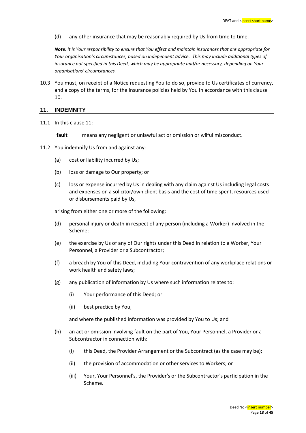(d) any other insurance that may be reasonably required by Us from time to time.

*Note: it is Your responsibility to ensure that You effect and maintain insurances that are appropriate for Your organisation's circumstances, based on independent advice. This may include additional types of insurance not specified in this Deed, which may be appropriate and/or necessary, depending on Your organisations' circumstances.* 

10.3 You must, on receipt of a Notice requesting You to do so, provide to Us certificates of currency, and a copy of the terms, for the insurance policies held by You in accordance with this clause 10.

#### **11. INDEMNITY**

<span id="page-17-0"></span>11.1 In this clause 11:

**fault** means any negligent or unlawful act or omission or wilful misconduct.

- 11.2 You indemnify Us from and against any:
	- (a) cost or liability incurred by Us;
	- (b) loss or damage to Our property; or
	- (c) loss or expense incurred by Us in dealing with any claim against Us including legal costs and expenses on a solicitor/own client basis and the cost of time spent, resources used or disbursements paid by Us,

arising from either one or more of the following:

- (d) personal injury or death in respect of any person (including a Worker) involved in the Scheme;
- (e) the exercise by Us of any of Our rights under this Deed in relation to a Worker, Your Personnel, a Provider or a Subcontractor;
- (f) a breach by You of this Deed, including Your contravention of any workplace relations or work health and safety laws;
- (g) any publication of information by Us where such information relates to:
	- (i) Your performance of this Deed; or
	- (ii) best practice by You,

and where the published information was provided by You to Us; and

- (h) an act or omission involving fault on the part of You, Your Personnel, a Provider or a Subcontractor in connection with:
	- (i) this Deed, the Provider Arrangement or the Subcontract (as the case may be);
	- (ii) the provision of accommodation or other services to Workers; or
	- (iii) Your, Your Personnel's, the Provider's or the Subcontractor's participation in the Scheme.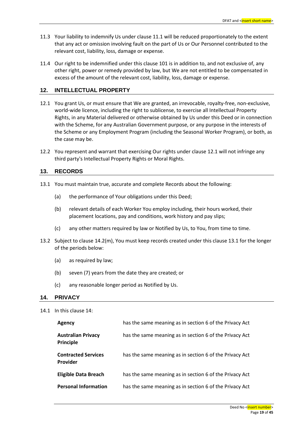- 11.3 Your liability to indemnify Us under clause [11.1](#page-17-0) will be reduced proportionately to the extent that any act or omission involving fault on the part of Us or Our Personnel contributed to the relevant cost, liability, loss, damage or expense.
- 11.4 Our right to be indemnified under this claus[e 101](#page-16-0) is in addition to, and not exclusive of, any other right, power or remedy provided by law, but We are not entitled to be compensated in excess of the amount of the relevant cost, liability, loss, damage or expense.

## **12. INTELLECTUAL PROPERTY**

- 12.1 You grant Us, or must ensure that We are granted, an irrevocable, royalty-free, non-exclusive, world-wide licence, including the right to sublicense, to exercise all Intellectual Property Rights, in any Material delivered or otherwise obtained by Us under this Deed or in connection with the Scheme, for any Australian Government purpose, or any purpose in the interests of the Scheme or any Employment Program (including the Seasonal Worker Program), or both, as the case may be.
- 12.2 You represent and warrant that exercising Our rights under clause 12.1 will not infringe any third party's Intellectual Property Rights or Moral Rights.

## **13. RECORDS**

- 13.1 You must maintain true, accurate and complete Records about the following:
	- (a) the performance of Your obligations under this Deed;
	- (b) relevant details of each Worker You employ including, their hours worked, their placement locations, pay and conditions, work history and pay slips;
	- (c) any other matters required by law or Notified by Us, to You, from time to time.
- 13.2 Subject to clause 14.2(m), You must keep records created under this clause 13.1 for the longer of the periods below:
	- (a) as required by law;
	- (b) seven (7) years from the date they are created; or
	- (c) any reasonable longer period as Notified by Us.

## **14. PRIVACY**

14.1 In this clause 14:

| Agency                                        | has the same meaning as in section 6 of the Privacy Act |
|-----------------------------------------------|---------------------------------------------------------|
| <b>Australian Privacy</b><br><b>Principle</b> | has the same meaning as in section 6 of the Privacy Act |
| <b>Contracted Services</b><br><b>Provider</b> | has the same meaning as in section 6 of the Privacy Act |
| <b>Eligible Data Breach</b>                   | has the same meaning as in section 6 of the Privacy Act |
| <b>Personal Information</b>                   | has the same meaning as in section 6 of the Privacy Act |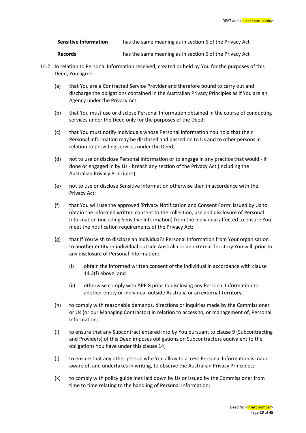| <b>Sensitive Information</b> | has the same meaning as in section 6 of the Privacy Act |
|------------------------------|---------------------------------------------------------|
|                              |                                                         |

**Records** has the same meaning as in section 6 of the Privacy Act

- 14.2 In relation to Personal Information received, created or held by You for the purposes of this Deed, You agree:
	- (a) that You are a Contracted Service Provider and therefore bound to carry out and discharge the obligations contained in the Australian Privacy Principles as if You are an Agency under the Privacy Act;
	- (b) that You must use or disclose Personal Information obtained in the course of conducting services under the Deed only for the purposes of the Deed;
	- (c) that You must notify individuals whose Personal Information You hold that their Personal Information may be disclosed and passed on to Us and to other persons in relation to providing services under the Deed;
	- (d) not to use or disclose Personal Information or to engage in any practice that would if done or engaged in by Us - breach any section of the Privacy Act (including the Australian Privacy Principles);
	- (e) not to use or disclose Sensitive Information otherwise than in accordance with the Privacy Act;
	- (f) that You will use the approved 'Privacy Notification and Consent Form' issued by Us to obtain the informed written consent to the collection, use and disclosure of Personal Information (including Sensitive Information) from the individual affected to ensure You meet the notification requirements of the Privacy Act;
	- (g) that if You wish to disclose an individual's Personal Information from Your organisation to another entity or individual outside Australia or an external Territory You will, prior to any disclosure of Personal Information:
		- (i) obtain the informed written consent of the individual in accordance with clause 14.2(f) above; and
		- (ii) otherwise comply with APP 8 prior to disclosing any Personal Information to another entity or individual outside Australia or an external Territory.
	- (h) to comply with reasonable demands, directions or inquiries made by the Commissioner or Us (or our Managing Contractor) in relation to access to, or management of, Personal Information;
	- (i) to ensure that any Subcontract entered into by You pursuant to clause 9 (Subcontracting and Providers) of this Deed imposes obligations on Subcontractors equivalent to the obligations You have under this clause 14;
	- (j) to ensure that any other person who You allow to access Personal Information is made aware of, and undertakes in writing, to observe the Australian Privacy Principles;
	- (k) to comply with policy guidelines laid down by Us or issued by the Commissioner from time to time relating to the handling of Personal Information;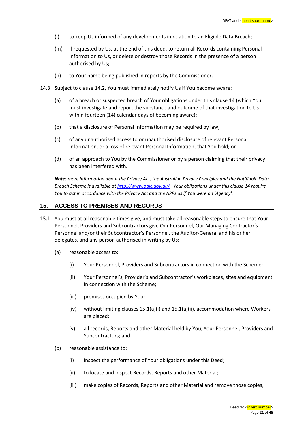- (l) to keep Us informed of any developments in relation to an Eligible Data Breach;
- (m) if requested by Us, at the end of this deed, to return all Records containing Personal Information to Us, or delete or destroy those Records in the presence of a person authorised by Us;
- (n) to Your name being published in reports by the Commissioner.
- 14.3 Subject to clause 14.2, You must immediately notify Us if You become aware:
	- (a) of a breach or suspected breach of Your obligations under this clause 14 (which You must investigate and report the substance and outcome of that investigation to Us within fourteen (14) calendar days of becoming aware);
	- (b) that a disclosure of Personal Information may be required by law;
	- (c) of any unauthorised access to or unauthorised disclosure of relevant Personal Information, or a loss of relevant Personal Information, that You hold; or
	- (d) of an approach to You by the Commissioner or by a person claiming that their privacy has been interfered with.

*Note: more information about the Privacy Act, the Australian Privacy Principles and the Notifiable Data Breach Scheme is available a[t http://www.oaic.gov.au/.](http://www.oaic.gov.au/) Your obligations under this clause 14 require You to act in accordance with the Privacy Act and the APPs as if You were an 'Agency'.*

## **15. ACCESS TO PREMISES AND RECORDS**

- 15.1 You must at all reasonable times give, and must take all reasonable steps to ensure that Your Personnel, Providers and Subcontractors give Our Personnel, Our Managing Contractor's Personnel and/or their Subcontractor's Personnel, the Auditor-General and his or her delegates, and any person authorised in writing by Us:
	- (a) reasonable access to:
		- (i) Your Personnel, Providers and Subcontractors in connection with the Scheme;
		- (ii) Your Personnel's, Provider's and Subcontractor's workplaces, sites and equipment in connection with the Scheme;
		- (iii) premises occupied by You;
		- $(iv)$  without limiting clauses 15.1(a)(i) and 15.1(a)(ii), accommodation where Workers are placed;
		- (v) all records, Reports and other Material held by You, Your Personnel, Providers and Subcontractors; and
	- (b) reasonable assistance to:
		- (i) inspect the performance of Your obligations under this Deed;
		- (ii) to locate and inspect Records, Reports and other Material;
		- (iii) make copies of Records, Reports and other Material and remove those copies,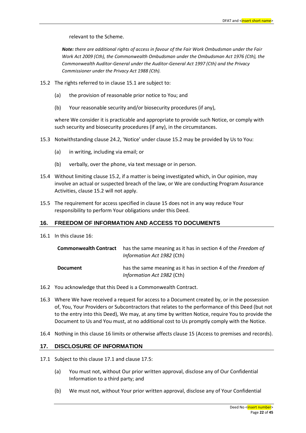relevant to the Scheme.

*Note: there are additional rights of access in favour of the Fair Work Ombudsman under the Fair Work Act 2009 (Cth), the Commonwealth Ombudsman under the Ombudsman Act 1976 (Cth), the Commonwealth Auditor-General under the Auditor-General Act 1997 (Cth) and the Privacy Commissioner under the Privacy Act 1988 (Cth).*

- 15.2 The rights referred to in clause 15.1 are subject to:
	- (a) the provision of reasonable prior notice to You; and
	- (b) Your reasonable security and/or biosecurity procedures (if any),

where We consider it is practicable and appropriate to provide such Notice, or comply with such security and biosecurity procedures (if any), in the circumstances.

- 15.3 Notwithstanding clause 24.2, 'Notice' under clause 15.2 may be provided by Us to You:
	- (a) in writing, including via email; or
	- (b) verbally, over the phone, via text message or in person.
- 15.4 Without limiting clause 15.2, if a matter is being investigated which, in Our opinion, may involve an actual or suspected breach of the law, or We are conducting Program Assurance Activities, clause 15.2 will not apply.
- 15.5 The requirement for access specified in clause 15 does not in any way reduce Your responsibility to perform Your obligations under this Deed.

## **16. FREEDOM OF INFORMATION AND ACCESS TO DOCUMENTS**

16.1 In this clause 16:

|                 | <b>Commonwealth Contract</b> has the same meaning as it has in section 4 of the Freedom of<br><i>Information Act 1982 (Cth)</i> |
|-----------------|---------------------------------------------------------------------------------------------------------------------------------|
| <b>Document</b> | has the same meaning as it has in section 4 of the Freedom of<br><i>Information Act 1982 (Cth)</i>                              |

- 16.2 You acknowledge that this Deed is a Commonwealth Contract.
- 16.3 Where We have received a request for access to a Document created by, or in the possession of, You, Your Providers or Subcontractors that relates to the performance of this Deed (but not to the entry into this Deed), We may, at any time by written Notice, require You to provide the Document to Us and You must, at no additional cost to Us promptly comply with the Notice.
- 16.4 Nothing in this clause 16 limits or otherwise affects clause 15 (Access to premises and records).

## **17. DISCLOSURE OF INFORMATION**

- 17.1 Subject to this clause 17.1 and clause 17.5:
	- (a) You must not, without Our prior written approval, disclose any of Our Confidential Information to a third party; and
	- (b) We must not, without Your prior written approval, disclose any of Your Confidential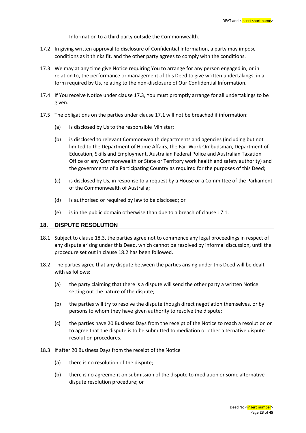Information to a third party outside the Commonwealth.

- 17.2 In giving written approval to disclosure of Confidential Information, a party may impose conditions as it thinks fit, and the other party agrees to comply with the conditions.
- 17.3 We may at any time give Notice requiring You to arrange for any person engaged in, or in relation to, the performance or management of this Deed to give written undertakings, in a form required by Us, relating to the non-disclosure of Our Confidential Information.
- 17.4 If You receive Notice under clause 17.3, You must promptly arrange for all undertakings to be given.
- 17.5 The obligations on the parties under clause 17.1 will not be breached if information:
	- (a) is disclosed by Us to the responsible Minister;
	- (b) is disclosed to relevant Commonwealth departments and agencies (including but not limited to the Department of Home Affairs, the Fair Work Ombudsman, Department of Education, Skills and Employment, Australian Federal Police and Australian Taxation Office or any Commonwealth or State or Territory work health and safety authority) and the governments of a Participating Country as required for the purposes of this Deed;
	- (c) is disclosed by Us, in response to a request by a House or a Committee of the Parliament of the Commonwealth of Australia;
	- (d) is authorised or required by law to be disclosed; or
	- (e) is in the public domain otherwise than due to a breach of clause 17.1.

#### **18. DISPUTE RESOLUTION**

- 18.1 Subject to clause 18.3, the parties agree not to commence any legal proceedings in respect of any dispute arising under this Deed, which cannot be resolved by informal discussion, until the procedure set out in clause 18.2 has been followed.
- 18.2 The parties agree that any dispute between the parties arising under this Deed will be dealt with as follows:
	- (a) the party claiming that there is a dispute will send the other party a written Notice setting out the nature of the dispute;
	- (b) the parties will try to resolve the dispute though direct negotiation themselves, or by persons to whom they have given authority to resolve the dispute;
	- (c) the parties have 20 Business Days from the receipt of the Notice to reach a resolution or to agree that the dispute is to be submitted to mediation or other alternative dispute resolution procedures.
- 18.3 If after 20 Business Days from the receipt of the Notice
	- (a) there is no resolution of the dispute;
	- (b) there is no agreement on submission of the dispute to mediation or some alternative dispute resolution procedure; or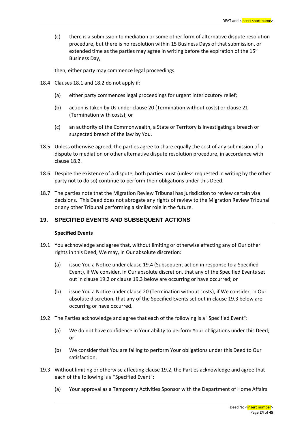(c) there is a submission to mediation or some other form of alternative dispute resolution procedure, but there is no resolution within 15 Business Days of that submission, or extended time as the parties may agree in writing before the expiration of the  $15<sup>th</sup>$ Business Day,

then, either party may commence legal proceedings.

- 18.4 Clauses 18.1 and 18.2 do not apply if:
	- (a) either party commences legal proceedings for urgent interlocutory relief;
	- (b) action is taken by Us under clause 20 (Termination without costs) or clause 21 (Termination with costs); or
	- (c) an authority of the Commonwealth, a State or Territory is investigating a breach or suspected breach of the law by You.
- 18.5 Unless otherwise agreed, the parties agree to share equally the cost of any submission of a dispute to mediation or other alternative dispute resolution procedure, in accordance with clause 18.2.
- 18.6 Despite the existence of a dispute, both parties must (unless requested in writing by the other party not to do so) continue to perform their obligations under this Deed.
- 18.7 The parties note that the Migration Review Tribunal has jurisdiction to review certain visa decisions. This Deed does not abrogate any rights of review to the Migration Review Tribunal or any other Tribunal performing a similar role in the future.

## **19. SPECIFIED EVENTS AND SUBSEQUENT ACTIONS**

## **Specified Events**

- 19.1 You acknowledge and agree that, without limiting or otherwise affecting any of Our other rights in this Deed, We may, in Our absolute discretion:
	- (a) issue You a Notice under clause 19.4 (Subsequent action in response to a Specified Event), if We consider, in Our absolute discretion, that any of the Specified Events set out in clause 19.2 or clause 19.3 below are occurring or have occurred; or
	- (b) issue You a Notice under clause 20 (Termination without costs), if We consider, in Our absolute discretion, that any of the Specified Events set out in clause 19.3 below are occurring or have occurred.
- 19.2 The Parties acknowledge and agree that each of the following is a "Specified Event":
	- (a) We do not have confidence in Your ability to perform Your obligations under this Deed; or
	- (b) We consider that You are failing to perform Your obligations under this Deed to Our satisfaction.
- 19.3 Without limiting or otherwise affecting clause 19.2, the Parties acknowledge and agree that each of the following is a "Specified Event":
	- (a) Your approval as a Temporary Activities Sponsor with the Department of Home Affairs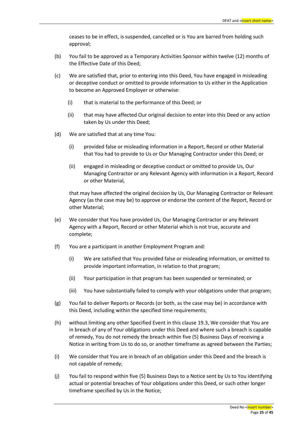ceases to be in effect, is suspended, cancelled or is You are barred from holding such approval;

- (b) You fail to be approved as a Temporary Activities Sponsor within twelve (12) months of the Effective Date of this Deed;
- (c) We are satisfied that, prior to entering into this Deed, You have engaged in misleading or deceptive conduct or omitted to provide information to Us either in the Application to become an Approved Employer or otherwise:
	- (i) that is material to the performance of this Deed; or
	- (ii) that may have affected Our original decision to enter into this Deed or any action taken by Us under this Deed;
- (d) We are satisfied that at any time You:
	- (i) provided false or misleading information in a Report, Record or other Material that You had to provide to Us or Our Managing Contractor under this Deed; or
	- (ii) engaged in misleading or deceptive conduct or omitted to provide Us, Our Managing Contractor or any Relevant Agency with information in a Report, Record or other Material,

that may have affected the original decision by Us, Our Managing Contractor or Relevant Agency (as the case may be) to approve or endorse the content of the Report, Record or other Material;

- (e) We consider that You have provided Us, Our Managing Contractor or any Relevant Agency with a Report, Record or other Material which is not true, accurate and complete;
- (f) You are a participant in another Employment Program and:
	- (i) We are satisfied that You provided false or misleading information, or omitted to provide important information, in relation to that program;
	- (ii) Your participation in that program has been suspended or terminated; or
	- (iii) You have substantially failed to comply with your obligations under that program;
- (g) You fail to deliver Reports or Records (or both, as the case may be) in accordance with this Deed, including within the specified time requirements;
- (h) without limiting any other Specified Event in this clause 19.3, We consider that You are in breach of any of Your obligations under this Deed and where such a breach is capable of remedy, You do not remedy the breach within five (5) Business Days of receiving a Notice in writing from Us to do so, or another timeframe as agreed between the Parties;
- (i) We consider that You are in breach of an obligation under this Deed and the breach is not capable of remedy;
- (j) You fail to respond within five (5) Business Days to a Notice sent by Us to You identifying actual or potential breaches of Your obligations under this Deed, or such other longer timeframe specified by Us in the Notice;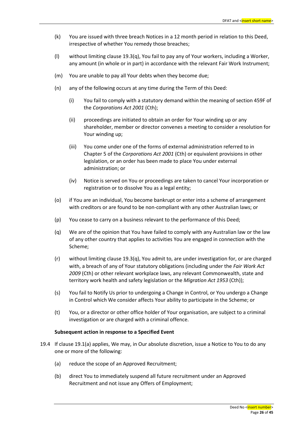- (k) You are issued with three breach Notices in a 12 month period in relation to this Deed, irrespective of whether You remedy those breaches;
- (l) without limiting clause 19.3(q), You fail to pay any of Your workers, including a Worker, any amount (in whole or in part) in accordance with the relevant Fair Work Instrument;
- (m) You are unable to pay all Your debts when they become due;
- (n) any of the following occurs at any time during the Term of this Deed:
	- (i) You fail to comply with a statutory demand within the meaning of section 459F of the *Corporations Act 2001* (Cth);
	- (ii) proceedings are initiated to obtain an order for Your winding up or any shareholder, member or director convenes a meeting to consider a resolution for Your winding up;
	- (iii) You come under one of the forms of external administration referred to in Chapter 5 of the *Corporations Act 2001* (Cth) or equivalent provisions in other legislation, or an order has been made to place You under external administration; or
	- (iv) Notice is served on You or proceedings are taken to cancel Your incorporation or registration or to dissolve You as a legal entity;
- (o) if You are an individual, You become bankrupt or enter into a scheme of arrangement with creditors or are found to be non-compliant with any other Australian laws; or
- (p) You cease to carry on a business relevant to the performance of this Deed;
- (q) We are of the opinion that You have failed to comply with any Australian law or the law of any other country that applies to activities You are engaged in connection with the Scheme;
- (r) without limiting clause 19.3(q), You admit to, are under investigation for, or are charged with, a breach of any of Your statutory obligations (including under the *Fair Work Act 2009* (Cth) or other relevant workplace laws, any relevant Commonwealth, state and territory work health and safety legislation or the *Migration Act 1953* (Cth));
- (s) You fail to Notify Us prior to undergoing a Change in Control, or You undergo a Change in Control which We consider affects Your ability to participate in the Scheme; or
- (t) You, or a director or other office holder of Your organisation, are subject to a criminal investigation or are charged with a criminal offence.

## **Subsequent action in response to a Specified Event**

- 19.4 If clause 19.1(a) applies, We may, in Our absolute discretion, issue a Notice to You to do any one or more of the following:
	- (a) reduce the scope of an Approved Recruitment;
	- (b) direct You to immediately suspend all future recruitment under an Approved Recruitment and not issue any Offers of Employment;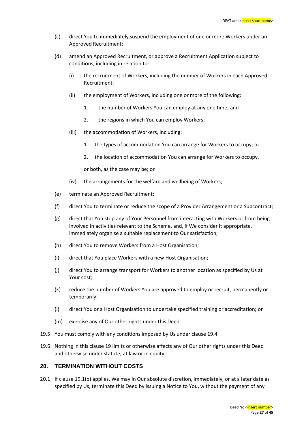- (c) direct You to immediately suspend the employment of one or more Workers under an Approved Recruitment;
- (d) amend an Approved Recruitment, or approve a Recruitment Application subject to conditions, including in relation to:
	- (i) the recruitment of Workers, including the number of Workers in each Approved Recruitment;
	- (ii) the employment of Workers, including one or more of the following:
		- 1. the number of Workers You can employ at any one time; and
		- 2. the regions in which You can employ Workers;
	- (iii) the accommodation of Workers, including:
		- 1. the types of accommodation You can arrange for Workers to occupy; or
		- 2. the location of accommodation You can arrange for Workers to occupy,

or both, as the case may be; or

- (iv) the arrangements for the welfare and wellbeing of Workers;
- (e) terminate an Approved Recruitment;
- (f) direct You to terminate or reduce the scope of a Provider Arrangement or a Subcontract;
- (g) direct that You stop any of Your Personnel from interacting with Workers or from being involved in activities relevant to the Scheme, and, if We consider it appropriate, immediately organise a suitable replacement to Our satisfaction;
- (h) direct You to remove Workers from a Host Organisation;
- (i) direct that You place Workers with a new Host Organisation;
- (j) direct You to arrange transport for Workers to another location as specified by Us at Your cost;
- (k) reduce the number of Workers You are approved to employ or recruit, permanently or temporarily;
- (l) direct You or a Host Organisation to undertake specified training or accreditation; or
- (m) exercise any of Our other rights under this Deed.
- 19.5 You must comply with any conditions imposed by Us under clause 19.4.
- 19.6 Nothing in this clause 19 limits or otherwise affects any of Our other rights under this Deed and otherwise under statute, at law or in equity.

## **20. TERMINATION WITHOUT COSTS**

20.1 If clause 19.1(b) applies, We may in Our absolute discretion, immediately, or at a later date as specified by Us, terminate this Deed by issuing a Notice to You, without the payment of any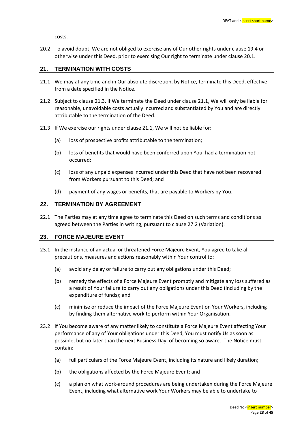costs.

20.2 To avoid doubt, We are not obliged to exercise any of Our other rights under clause 19.4 or otherwise under this Deed, prior to exercising Our right to terminate under clause 20.1.

## **21. TERMINATION WITH COSTS**

- 21.1 We may at any time and in Our absolute discretion, by Notice, terminate this Deed, effective from a date specified in the Notice.
- 21.2 Subject to clause 21.3, if We terminate the Deed under clause 21.1, We will only be liable for reasonable, unavoidable costs actually incurred and substantiated by You and are directly attributable to the termination of the Deed.
- 21.3 If We exercise our rights under clause 21.1, We will not be liable for:
	- (a) loss of prospective profits attributable to the termination;
	- (b) loss of benefits that would have been conferred upon You, had a termination not occurred;
	- (c) loss of any unpaid expenses incurred under this Deed that have not been recovered from Workers pursuant to this Deed; and
	- (d) payment of any wages or benefits, that are payable to Workers by You.

## **22. TERMINATION BY AGREEMENT**

22.1 The Parties may at any time agree to terminate this Deed on such terms and conditions as agreed between the Parties in writing, pursuant to clause 27.2 (Variation).

## **23. FORCE MAJEURE EVENT**

- 23.1 In the instance of an actual or threatened Force Majeure Event, You agree to take all precautions, measures and actions reasonably within Your control to:
	- (a) avoid any delay or failure to carry out any obligations under this Deed;
	- (b) remedy the effects of a Force Majeure Event promptly and mitigate any loss suffered as a result of Your failure to carry out any obligations under this Deed (including by the expenditure of funds); and
	- (c) minimise or reduce the impact of the Force Majeure Event on Your Workers, including by finding them alternative work to perform within Your Organisation.
- 23.2 If You become aware of any matter likely to constitute a Force Majeure Event affecting Your performance of any of Your obligations under this Deed, You must notify Us as soon as possible, but no later than the next Business Day, of becoming so aware. The Notice must contain:
	- (a) full particulars of the Force Majeure Event, including its nature and likely duration;
	- (b) the obligations affected by the Force Majeure Event; and
	- (c) a plan on what work-around procedures are being undertaken during the Force Majeure Event, including what alternative work Your Workers may be able to undertake to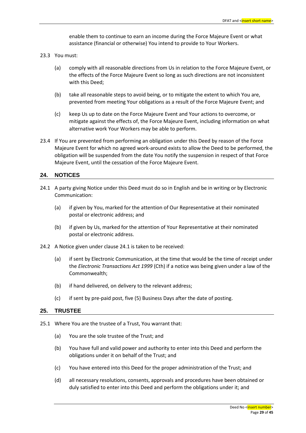enable them to continue to earn an income during the Force Majeure Event or what assistance (financial or otherwise) You intend to provide to Your Workers.

- 23.3 You must:
	- (a) comply with all reasonable directions from Us in relation to the Force Majeure Event, or the effects of the Force Majeure Event so long as such directions are not inconsistent with this Deed;
	- (b) take all reasonable steps to avoid being, or to mitigate the extent to which You are, prevented from meeting Your obligations as a result of the Force Majeure Event; and
	- (c) keep Us up to date on the Force Majeure Event and Your actions to overcome, or mitigate against the effects of, the Force Majeure Event, including information on what alternative work Your Workers may be able to perform.
- 23.4 If You are prevented from performing an obligation under this Deed by reason of the Force Majeure Event for which no agreed work-around exists to allow the Deed to be performed, the obligation will be suspended from the date You notify the suspension in respect of that Force Majeure Event, until the cessation of the Force Majeure Event.

## **24. NOTICES**

- 24.1 A party giving Notice under this Deed must do so in English and be in writing or by Electronic Communication:
	- (a) if given by You, marked for the attention of Our Representative at their nominated postal or electronic address; and
	- (b) if given by Us, marked for the attention of Your Representative at their nominated postal or electronic address.
- 24.2 A Notice given under clause 24.1 is taken to be received:
	- (a) if sent by Electronic Communication, at the time that would be the time of receipt under the *Electronic Transactions Act 1999* (Cth) if a notice was being given under a law of the Commonwealth;
	- (b) if hand delivered, on delivery to the relevant address;
	- (c) if sent by pre-paid post, five (5) Business Days after the date of posting.

## **25. TRUSTEE**

- 25.1 Where You are the trustee of a Trust, You warrant that:
	- (a) You are the sole trustee of the Trust; and
	- (b) You have full and valid power and authority to enter into this Deed and perform the obligations under it on behalf of the Trust; and
	- (c) You have entered into this Deed for the proper administration of the Trust; and
	- (d) all necessary resolutions, consents, approvals and procedures have been obtained or duly satisfied to enter into this Deed and perform the obligations under it; and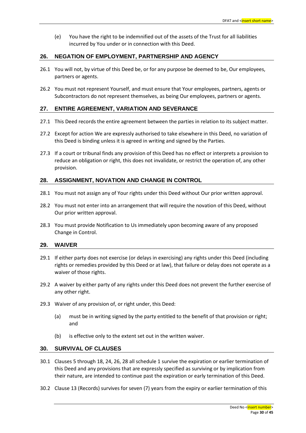(e) You have the right to be indemnified out of the assets of the Trust for all liabilities incurred by You under or in connection with this Deed.

## **26. NEGATION OF EMPLOYMENT, PARTNERSHIP AND AGENCY**

- 26.1 You will not, by virtue of this Deed be, or for any purpose be deemed to be, Our employees, partners or agents.
- 26.2 You must not represent Yourself, and must ensure that Your employees, partners, agents or Subcontractors do not represent themselves, as being Our employees, partners or agents.

## **27. ENTIRE AGREEMENT, VARIATION AND SEVERANCE**

- 27.1 This Deed records the entire agreement between the parties in relation to its subject matter.
- 27.2 Except for action We are expressly authorised to take elsewhere in this Deed, no variation of this Deed is binding unless it is agreed in writing and signed by the Parties.
- 27.3 If a court or tribunal finds any provision of this Deed has no effect or interprets a provision to reduce an obligation or right, this does not invalidate, or restrict the operation of, any other provision.

## **28. ASSIGNMENT, NOVATION AND CHANGE IN CONTROL**

- 28.1 You must not assign any of Your rights under this Deed without Our prior written approval.
- 28.2 You must not enter into an arrangement that will require the novation of this Deed, without Our prior written approval.
- 28.3 You must provide Notification to Us immediately upon becoming aware of any proposed Change in Control.

## **29. WAIVER**

- 29.1 If either party does not exercise (or delays in exercising) any rights under this Deed (including rights or remedies provided by this Deed or at law), that failure or delay does not operate as a waiver of those rights.
- 29.2 A waiver by either party of any rights under this Deed does not prevent the further exercise of any other right.
- 29.3 Waiver of any provision of, or right under, this Deed:
	- (a) must be in writing signed by the party entitled to the benefit of that provision or right; and
	- (b) is effective only to the extent set out in the written waiver.

## **30. SURVIVAL OF CLAUSES**

- 30.1 Clauses 5 through 18, 24, 26, 28 all schedule 1 survive the expiration or earlier termination of this Deed and any provisions that are expressly specified as surviving or by implication from their nature, are intended to continue past the expiration or early termination of this Deed.
- 30.2 Clause 13 (Records) survives for seven (7) years from the expiry or earlier termination of this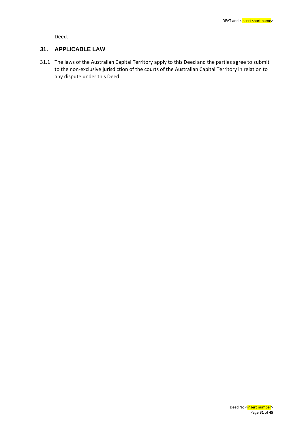Deed.

## **31. APPLICABLE LAW**

31.1 The laws of the Australian Capital Territory apply to this Deed and the parties agree to submit to the non-exclusive jurisdiction of the courts of the Australian Capital Territory in relation to any dispute under this Deed.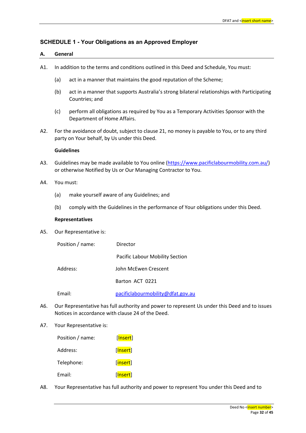## **SCHEDULE 1 - Your Obligations as an Approved Employer**

#### **A. General**

- A1. In addition to the terms and conditions outlined in this Deed and Schedule, You must:
	- (a) act in a manner that maintains the good reputation of the Scheme;
	- (b) act in a manner that supports Australia's strong bilateral relationships with Participating Countries; and
	- (c) perform all obligations as required by You as a Temporary Activities Sponsor with the Department of Home Affairs.
- A2. For the avoidance of doubt, subject to clause 21, no money is payable to You, or to any third party on Your behalf, by Us under this Deed.

#### **Guidelines**

- A3. Guidelines may be made available to You online [\(https://www.pacificlabourmobility.com.au/\)](https://www.pacificlabourmobility.com.au/) or otherwise Notified by Us or Our Managing Contractor to You.
- A4. You must:
	- (a) make yourself aware of any Guidelines; and
	- (b) comply with the Guidelines in the performance of Your obligations under this Deed.

#### **Representatives**

A5. Our Representative is:

| Position / name: | Director                          |
|------------------|-----------------------------------|
|                  | Pacific Labour Mobility Section   |
| Address:         | John McEwen Crescent              |
|                  | Barton ACT 0221                   |
| Email:           | pacificlabourmobility@dfat.gov.au |

- A6. Our Representative has full authority and power to represent Us under this Deed and to issues Notices in accordance with clause 24 of the Deed.
- A7. Your Representative is:

| Position / name: | [ <mark>Insert</mark> ] |
|------------------|-------------------------|
| Address:         | [ <mark>Insert</mark> ] |
| Telephone:       | [ <mark>insert</mark> ] |
| Email:           | [Insert]                |

A8. Your Representative has full authority and power to represent You under this Deed and to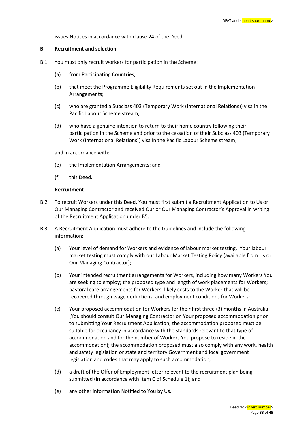issues Notices in accordance with clause 24 of the Deed.

#### **B. Recruitment and selection**

- B.1 You must only recruit workers for participation in the Scheme:
	- (a) from Participating Countries;
	- (b) that meet the Programme Eligibility Requirements set out in the Implementation Arrangements;
	- (c) who are granted a Subclass 403 (Temporary Work (International Relations)) visa in the Pacific Labour Scheme stream;
	- (d) who have a genuine intention to return to their home country following their participation in the Scheme and prior to the cessation of their Subclass 403 (Temporary Work (International Relations)) visa in the Pacific Labour Scheme stream;

and in accordance with:

- (e) the Implementation Arrangements; and
- (f) this Deed.

## **Recruitment**

- B.2 To recruit Workers under this Deed, You must first submit a Recruitment Application to Us or Our Managing Contractor and received Our or Our Managing Contractor's Approval in writing of the Recruitment Application under B5.
- B.3 A Recruitment Application must adhere to the Guidelines and include the following information:
	- (a) Your level of demand for Workers and evidence of labour market testing. Your labour market testing must comply with our Labour Market Testing Policy (available from Us or Our Managing Contractor);
	- (b) Your intended recruitment arrangements for Workers, including how many Workers You are seeking to employ; the proposed type and length of work placements for Workers; pastoral care arrangements for Workers; likely costs to the Worker that will be recovered through wage deductions; and employment conditions for Workers;
	- (c) Your proposed accommodation for Workers for their first three (3) months in Australia (You should consult Our Managing Contractor on Your proposed accommodation prior to submitting Your Recruitment Application; the accommodation proposed must be suitable for occupancy in accordance with the standards relevant to that type of accommodation and for the number of Workers You propose to reside in the accommodation); the accommodation proposed must also comply with any work, health and safety legislation or state and territory Government and local government legislation and codes that may apply to such accommodation;
	- (d) a draft of the Offer of Employment letter relevant to the recruitment plan being submitted (in accordance with Item C of Schedule 1); and
	- (e) any other information Notified to You by Us.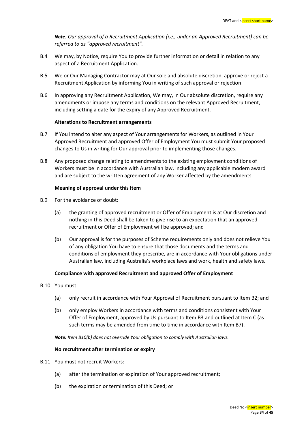*Note: Our approval of a Recruitment Application (i.e., under an Approved Recruitment) can be referred to as "approved recruitment".*

- B.4 We may, by Notice, require You to provide further information or detail in relation to any aspect of a Recruitment Application.
- B.5 We or Our Managing Contractor may at Our sole and absolute discretion, approve or reject a Recruitment Application by informing You in writing of such approval or rejection.
- B.6 In approving any Recruitment Application, We may, in Our absolute discretion, require any amendments or impose any terms and conditions on the relevant Approved Recruitment, including setting a date for the expiry of any Approved Recruitment.

## **Alterations to Recruitment arrangements**

- B.7 If You intend to alter any aspect of Your arrangements for Workers, as outlined in Your Approved Recruitment and approved Offer of Employment You must submit Your proposed changes to Us in writing for Our approval prior to implementing those changes.
- B.8 Any proposed change relating to amendments to the existing employment conditions of Workers must be in accordance with Australian law, including any applicable modern award and are subject to the written agreement of any Worker affected by the amendments.

#### **Meaning of approval under this Item**

- B.9 For the avoidance of doubt:
	- (a) the granting of approved recruitment or Offer of Employment is at Our discretion and nothing in this Deed shall be taken to give rise to an expectation that an approved recruitment or Offer of Employment will be approved; and
	- (b) Our approval is for the purposes of Scheme requirements only and does not relieve You of any obligation You have to ensure that those documents and the terms and conditions of employment they prescribe, are in accordance with Your obligations under Australian law, including Australia's workplace laws and work, health and safety laws.

#### **Compliance with approved Recruitment and approved Offer of Employment**

- B.10 You must:
	- (a) only recruit in accordance with Your Approval of Recruitment pursuant to Item B2; and
	- (b) only employ Workers in accordance with terms and conditions consistent with Your Offer of Employment, approved by Us pursuant to Item B3 and outlined at Item C (as such terms may be amended from time to time in accordance with Item B7).

*Note: Item B10(b) does not override Your obligation to comply with Australian laws.*

#### **No recruitment after termination or expiry**

- B.11 You must not recruit Workers:
	- (a) after the termination or expiration of Your approved recruitment;
	- (b) the expiration or termination of this Deed; or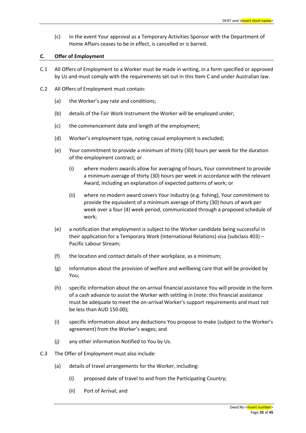(c) in the event Your approval as a Temporary Activities Sponsor with the Department of Home Affairs ceases to be in effect, is cancelled or is barred.

## **C. Offer of Employment**

- C.1 All Offers of Employment to a Worker must be made in writing, in a form specified or approved by Us and must comply with the requirements set out in this Item C and under Australian law.
- C.2 All Offers of Employment must contain:
	- (a) the Worker's pay rate and conditions;
	- (b) details of the Fair Work Instrument the Worker will be employed under;
	- (c) the commencement date and length of the employment;
	- (d) Worker's employment type, noting casual employment is excluded;
	- (e) Your commitment to provide a minimum of thirty (30) hours per week for the duration of the employment contract; or
		- (i) where modern awards allow for averaging of hours, Your commitment to provide a minimum average of thirty (30) hours per week in accordance with the relevant Award, including an explanation of expected patterns of work; or
		- (ii) where no modern award covers Your industry (e.g. fishing), Your commitment to provide the equivalent of a minimum average of thirty (30) hours of work per week over a four (4) week period, communicated through a proposed schedule of work;
	- (e) a notification that employment is subject to the Worker candidate being successful in their application for a [Temporary Work \(International Relations\) visa \(subclass 403\)](https://www.homeaffairs.gov.au/trav/visa-1/403-) – Pacific Labour Stream;
	- (f) the location and contact details of their workplace, as a minimum;
	- (g) information about the provision of welfare and wellbeing care that will be provided by You;
	- (h) specific information about the on-arrival financial assistance You will provide in the form of a cash advance to assist the Worker with settling in (note: this financial assistance must be adequate to meet the on-arrival Worker's support requirements and must not be less than AUD 150.00);
	- (i) specific information about any deductions You propose to make (subject to the Worker's agreement) from the Worker's wages; and
	- (j) any other information Notified to You by Us.
- C.3 The Offer of Employment must also include:
	- (a) details of travel arrangements for the Worker, including:
		- (i) proposed date of travel to and from the Participating Country;
		- (ii) Port of Arrival; and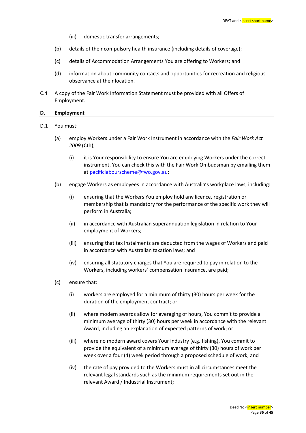- (iii) domestic transfer arrangements;
- (b) details of their compulsory health insurance (including details of coverage);
- (c) details of Accommodation Arrangements You are offering to Workers; and
- (d) information about community contacts and opportunities for recreation and religious observance at their location.
- C.4 A copy of the Fair Work Information Statement must be provided with all Offers of Employment.

#### **D. Employment**

- D.1 You must:
	- (a) employ Workers under a Fair Work Instrument in accordance with the *Fair Work Act 2009* (Cth);
		- (i) it is Your responsibility to ensure You are employing Workers under the correct instrument. You can check this with the Fair Work Ombudsman by emailing them a[t pacificlabourscheme@fwo.gov.au;](mailto:pacificlabourscheme@fwo.gov.au)
	- (b) engage Workers as employees in accordance with Australia's workplace laws, including:
		- (i) ensuring that the Workers You employ hold any licence, registration or membership that is mandatory for the performance of the specific work they will perform in Australia;
		- (ii) in accordance with Australian superannuation legislation in relation to Your employment of Workers;
		- (iii) ensuring that tax instalments are deducted from the wages of Workers and paid in accordance with Australian taxation laws; and
		- (iv) ensuring all statutory charges that You are required to pay in relation to the Workers, including workers' compensation insurance, are paid;
	- (c) ensure that:
		- (i) workers are employed for a minimum of thirty (30) hours per week for the duration of the employment contract; or
		- (ii) where modern awards allow for averaging of hours, You commit to provide a minimum average of thirty (30) hours per week in accordance with the relevant Award, including an explanation of expected patterns of work; or
		- (iii) where no modern award covers Your industry (e.g. fishing), You commit to provide the equivalent of a minimum average of thirty (30) hours of work per week over a four (4) week period through a proposed schedule of work; and
		- (iv) the rate of pay provided to the Workers must in all circumstances meet the relevant legal standards such as the minimum requirements set out in the relevant Award / Industrial Instrument;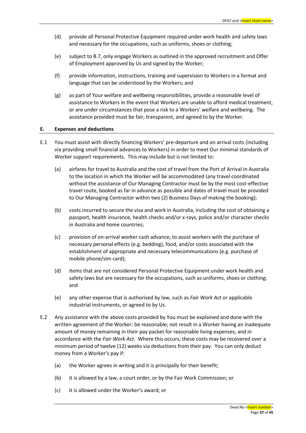- (d) provide all Personal Protective Equipment required under work health and safety laws and necessary for the occupations, such as uniforms, shoes or clothing;
- (e) subject to B.7, only engage Workers as outlined in the approved recruitment and Offer of Employment approved by Us and signed by the Worker;
- (f) provide information, instructions, training and supervision to Workers in a format and language that can be understood by the Workers; and
- (g) as part of Your welfare and wellbeing responsibilities, provide a reasonable level of assistance to Workers in the event that Workers are unable to afford medical treatment, or are under circumstances that pose a risk to a Workers' welfare and wellbeing. The assistance provided must be fair, transparent, and agreed to by the Worker.

## **E. Expenses and deductions**

- E.1 You must assist with directly financing Workers' pre-departure and on arrival costs (including via providing small financial advances to Workers) in order to meet Our minimal standards of Worker support requirements. This may include but is not limited to:
	- (a) airfares for travel to Australia and the cost of travel from the Port of Arrival in Australia to the location in which the Worker will be accommodated (any travel coordinated without the assistance of Our Managing Contractor must be by the most cost-effective travel route, booked as far in advance as possible and dates of travel must be provided to Our Managing Contractor within two (2) Business Days of making the booking);
	- (b) costs incurred to secure the visa and work in Australia, including the cost of obtaining a passport, health insurance, health checks and/or x-rays, police and/or character checks in Australia and home countries;
	- (c) provision of on-arrival worker cash advance, to assist workers with the purchase of necessary personal effects (e.g. bedding), food, and/or costs associated with the establishment of appropriate and necessary telecommunications (e.g. purchase of mobile phone/sim card);
	- (d) items that are not considered Personal Protective Equipment under work health and safety laws but are necessary for the occupations, such as uniforms, shoes or clothing; and
	- (e) any other expense that is authorised by law, such as *Fair Work Act* or applicable industrial instruments, or agreed to by Us.
- E.2 Any assistance with the above costs provided by You must be explained and done with the written agreement of the Worker; be reasonable; not result in a Worker having an inadequate amount of money remaining in their pay packet for reasonable living expenses; and in accordance with the *Fair Work Act*. Where this occurs, these costs may be recovered over a minimum period of twelve (12) weeks via deductions from their pay. You can only deduct money from a Worker's pay if:
	- (a) the Worker agrees in writing and it is principally for their benefit;
	- (b) it is allowed by a law, a court order, or by the Fair Work Commission; or
	- (c) it is allowed under the Worker's award; or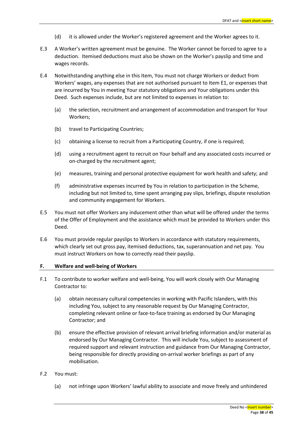- (d) it is allowed under the Worker's registered agreement and the Worker agrees to it.
- E.3 A Worker's written agreement must be genuine. The Worker cannot be forced to agree to a deduction. Itemised deductions must also be shown on the Worker's payslip and time and wages records.
- E.4 Notwithstanding anything else in this Item, You must not charge Workers or deduct from Workers' wages, any expenses that are not authorised pursuant to Item E1, or expenses that are incurred by You in meeting Your statutory obligations and Your obligations under this Deed. Such expenses include, but are not limited to expenses in relation to:
	- (a) the selection, recruitment and arrangement of accommodation and transport for Your Workers;
	- (b) travel to Participating Countries;
	- (c) obtaining a license to recruit from a Participating Country, if one is required;
	- (d) using a recruitment agent to recruit on Your behalf and any associated costs incurred or on-charged by the recruitment agent;
	- (e) measures, training and personal protective equipment for work health and safety; and
	- (f) administrative expenses incurred by You in relation to participation in the Scheme, including but not limited to, time spent arranging pay slips, briefings, dispute resolution and community engagement for Workers.
- E.5 You must not offer Workers any inducement other than what will be offered under the terms of the Offer of Employment and the assistance which must be provided to Workers under this Deed.
- E.6 You must provide regular payslips to Workers in accordance with statutory requirements, which clearly set out gross pay, itemised deductions, tax, superannuation and net pay. You must instruct Workers on how to correctly read their payslip.

## **F. Welfare and well-being of Workers**

- F.1 To contribute to worker welfare and well-being, You will work closely with Our Managing Contractor to:
	- (a) obtain necessary cultural competencies in working with Pacific Islanders, with this including You, subject to any reasonable request by Our Managing Contractor, completing relevant online or face-to-face training as endorsed by Our Managing Contractor; and
	- (b) ensure the effective provision of relevant arrival briefing information and/or material as endorsed by Our Managing Contractor. This will include You, subject to assessment of required support and relevant instruction and guidance from Our Managing Contractor, being responsible for directly providing on-arrival worker briefings as part of any mobilisation.
- F.2 You must:
	- (a) not infringe upon Workers' lawful ability to associate and move freely and unhindered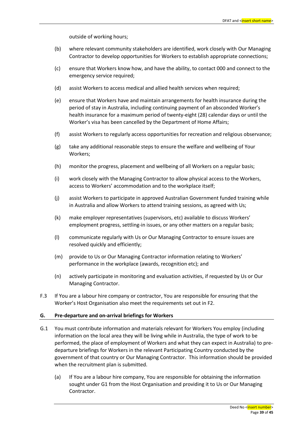outside of working hours;

- (b) where relevant community stakeholders are identified, work closely with Our Managing Contractor to develop opportunities for Workers to establish appropriate connections;
- (c) ensure that Workers know how, and have the ability, to contact 000 and connect to the emergency service required;
- (d) assist Workers to access medical and allied health services when required;
- (e) ensure that Workers have and maintain arrangements for health insurance during the period of stay in Australia, including continuing payment of an absconded Worker's health insurance for a maximum period of twenty-eight (28) calendar days or until the Worker's visa has been cancelled by the Department of Home Affairs;
- (f) assist Workers to regularly access opportunities for recreation and religious observance;
- (g) take any additional reasonable steps to ensure the welfare and wellbeing of Your Workers;
- (h) monitor the progress, placement and wellbeing of all Workers on a regular basis;
- (i) work closely with the Managing Contractor to allow physical access to the Workers, access to Workers' accommodation and to the workplace itself;
- (j) assist Workers to participate in approved Australian Government funded training while in Australia and allow Workers to attend training sessions, as agreed with Us;
- (k) make employer representatives (supervisors, etc) available to discuss Workers' employment progress, settling-in issues, or any other matters on a regular basis;
- (l) communicate regularly with Us or Our Managing Contractor to ensure issues are resolved quickly and efficiently;
- (m) provide to Us or Our Managing Contractor information relating to Workers' performance in the workplace (awards, recognition etc); and
- (n) actively participate in monitoring and evaluation activities, if requested by Us or Our Managing Contractor.
- F.3 If You are a labour hire company or contractor, You are responsible for ensuring that the Worker's Host Organisation also meet the requirements set out in F2.

#### **G. Pre-departure and on-arrival briefings for Workers**

- G.1 You must contribute information and materials relevant for Workers You employ (including information on the local area they will be living while in Australia, the type of work to be performed, the place of employment of Workers and what they can expect in Australia) to predeparture briefings for Workers in the relevant Participating Country conducted by the government of that country or Our Managing Contractor. This information should be provided when the recruitment plan is submitted.
	- (a) If You are a labour hire company, You are responsible for obtaining the information sought under G1 from the Host Organisation and providing it to Us or Our Managing Contractor.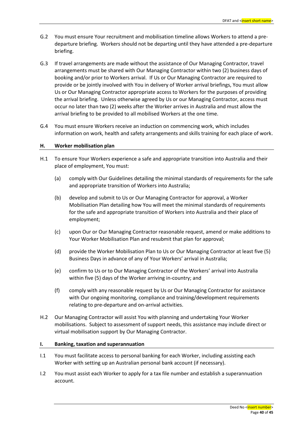- G.2 You must ensure Your recruitment and mobilisation timeline allows Workers to attend a predeparture briefing. Workers should not be departing until they have attended a pre-departure briefing.
- G.3 If travel arrangements are made without the assistance of Our Managing Contractor, travel arrangements must be shared with Our Managing Contractor within two (2) business days of booking and/or prior to Workers arrival. If Us or Our Managing Contractor are required to provide or be jointly involved with You in delivery of Worker arrival briefings, You must allow Us or Our Managing Contractor appropriate access to Workers for the purposes of providing the arrival briefing. Unless otherwise agreed by Us or our Managing Contractor, access must occur no later than two (2) weeks after the Worker arrives in Australia and must allow the arrival briefing to be provided to all mobilised Workers at the one time.
- G.4 You must ensure Workers receive an induction on commencing work, which includes information on work, health and safety arrangements and skills training for each place of work.

## **H. Worker mobilisation plan**

- H.1 To ensure Your Workers experience a safe and appropriate transition into Australia and their place of employment, You must:
	- (a) comply with Our Guidelines detailing the minimal standards of requirements for the safe and appropriate transition of Workers into Australia;
	- (b) develop and submit to Us or Our Managing Contractor for approval, a Worker Mobilisation Plan detailing how You will meet the minimal standards of requirements for the safe and appropriate transition of Workers into Australia and their place of employment;
	- (c) upon Our or Our Managing Contractor reasonable request, amend or make additions to Your Worker Mobilisation Plan and resubmit that plan for approval;
	- (d) provide the Worker Mobilisation Plan to Us or Our Managing Contractor at least five (5) Business Days in advance of any of Your Workers' arrival in Australia;
	- (e) confirm to Us or to Our Managing Contractor of the Workers' arrival into Australia within five (5) days of the Worker arriving in-country; and
	- (f) comply with any reasonable request by Us or Our Managing Contractor for assistance with Our ongoing monitoring, compliance and training/development requirements relating to pre-departure and on-arrival activities.
- H.2 Our Managing Contractor will assist You with planning and undertaking Your Worker mobilisations. Subject to assessment of support needs, this assistance may include direct or virtual mobilisation support by Our Managing Contractor.

## **I. Banking, taxation and superannuation**

- I.1 You must facilitate access to personal banking for each Worker, including assisting each Worker with setting up an Australian personal bank account (if necessary).
- I.2 You must assist each Worker to apply for a tax file number and establish a superannuation account.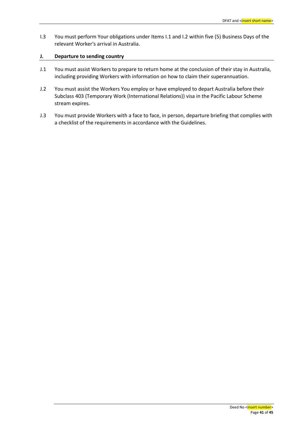I.3 You must perform Your obligations under Items I.1 and I.2 within five (5) Business Days of the relevant Worker's arrival in Australia.

## **J. Departure to sending country**

- J.1 You must assist Workers to prepare to return home at the conclusion of their stay in Australia, including providing Workers with information on how to claim their superannuation.
- J.2 You must assist the Workers You employ or have employed to depart Australia before their Subclass 403 (Temporary Work (International Relations)) visa in the Pacific Labour Scheme stream expires.
- J.3 You must provide Workers with a face to face, in person, departure briefing that complies with a checklist of the requirements in accordance with the Guidelines.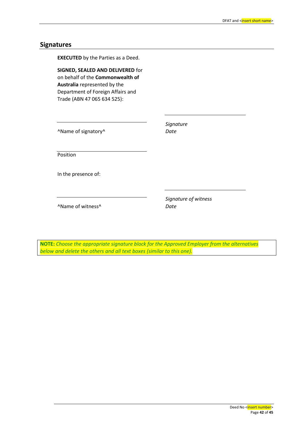## **Signatures**

**EXECUTED** by the Parties as a Deed. **SIGNED, SEALED AND DELIVERED** for on behalf of the **Commonwealth of Australia** represented by the Department of Foreign Affairs and Trade (ABN 47 065 634 525): ^Name of signatory^ *Signature Date* Position In the presence of: ^Name of witness^ *Signature of witness Date*

**NOTE:** *Choose the appropriate signature block for the Approved Employer from the alternatives below and delete the others and all text boxes (similar to this one).*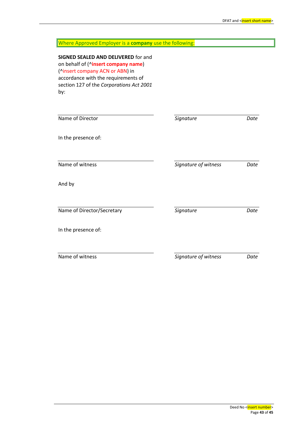| Where Approved Employer is a company use the following:                                                                                                                                                 |                      |      |
|---------------------------------------------------------------------------------------------------------------------------------------------------------------------------------------------------------|----------------------|------|
| SIGNED SEALED AND DELIVERED for and<br>on behalf of (^insert company name)<br>(^insert company ACN or ABN) in<br>accordance with the requirements of<br>section 127 of the Corporations Act 2001<br>by: |                      |      |
| Name of Director                                                                                                                                                                                        | Signature            | Date |
| In the presence of:                                                                                                                                                                                     |                      |      |
| Name of witness                                                                                                                                                                                         | Signature of witness | Date |
| And by                                                                                                                                                                                                  |                      |      |
| Name of Director/Secretary                                                                                                                                                                              | Signature            | Date |
| In the presence of:                                                                                                                                                                                     |                      |      |
| Name of witness                                                                                                                                                                                         | Signature of witness | Date |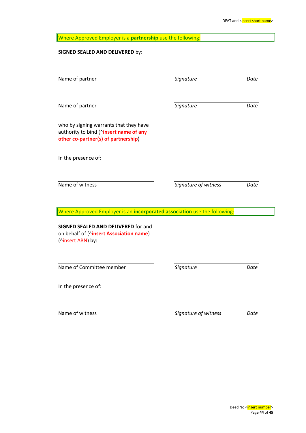| Where Approved Employer is a partnership use the following:                                                             |                      |      |  |
|-------------------------------------------------------------------------------------------------------------------------|----------------------|------|--|
| <b>SIGNED SEALED AND DELIVERED by:</b>                                                                                  |                      |      |  |
| Name of partner                                                                                                         | Signature            | Date |  |
| Name of partner                                                                                                         | Signature            | Date |  |
| who by signing warrants that they have<br>authority to bind (^insert name of any<br>other co-partner(s) of partnership) |                      |      |  |
| In the presence of:                                                                                                     |                      |      |  |
| Name of witness                                                                                                         | Signature of witness | Date |  |
| Where Approved Employer is an incorporated association use the following:                                               |                      |      |  |
| <b>SIGNED SEALED AND DELIVERED for and</b><br>on behalf of (^insert Association name)<br>(^insert ABN) by:              |                      |      |  |
| Name of Committee member                                                                                                | Signature            | Date |  |
| In the presence of:                                                                                                     |                      |      |  |
| Name of witness                                                                                                         | Signature of witness | Date |  |